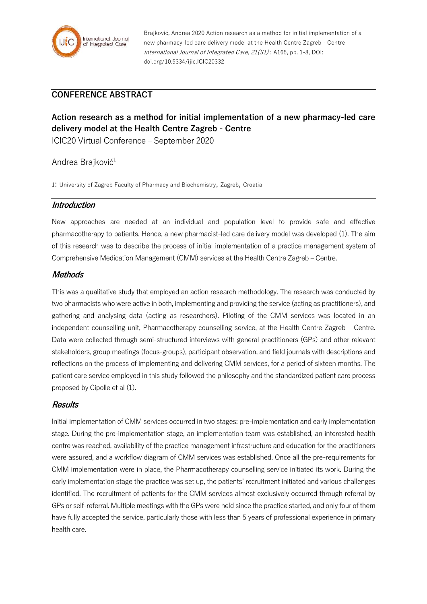

Brajković, Andrea 2020 Action research as a method for initial implementation of a new pharmacy-led care delivery model at the Health Centre Zagreb - Centre International Journal of Integrated Care, 21(S1) : A165, pp. 1-8, DOI: doi.org/10.5334/ijic.ICIC20332

## **CONFERENCE ABSTRACT**

# **Action research as a method for initial implementation of a new pharmacy-led care delivery model at the Health Centre Zagreb - Centre**

ICIC20 Virtual Conference – September 2020

## Andrea Brajković<sup>1</sup>

1: University of Zagreb Faculty of Pharmacy and Biochemistry, Zagreb, Croatia

#### **Introduction**

New approaches are needed at an individual and population level to provide safe and effective pharmacotherapy to patients. Hence, a new pharmacist-led care delivery model was developed (1). The aim of this research was to describe the process of initial implementation of a practice management system of Comprehensive Medication Management (CMM) services at the Health Centre Zagreb – Centre.

#### **Methods**

This was a qualitative study that employed an action research methodology. The research was conducted by two pharmacists who were active in both, implementing and providing the service (acting as practitioners), and gathering and analysing data (acting as researchers). Piloting of the CMM services was located in an independent counselling unit, Pharmacotherapy counselling service, at the Health Centre Zagreb – Centre. Data were collected through semi-structured interviews with general practitioners (GPs) and other relevant stakeholders, group meetings (focus-groups), participant observation, and field journals with descriptions and reflections on the process of implementing and delivering CMM services, for a period of sixteen months. The patient care service employed in this study followed the philosophy and the standardized patient care process proposed by Cipolle et al (1).

#### **Results**

Initial implementation of CMM services occurred in two stages: pre-implementation and early implementation stage. During the pre-implementation stage, an implementation team was established, an interested health centre was reached, availability of the practice management infrastructure and education for the practitioners were assured, and a workflow diagram of CMM services was established. Once all the pre-requirements for CMM implementation were in place, the Pharmacotherapy counselling service initiated its work. During the early implementation stage the practice was set up, the patients' recruitment initiated and various challenges identified. The recruitment of patients for the CMM services almost exclusively occurred through referral by GPs or self-referral. Multiple meetings with the GPs were held since the practice started, and only four of them have fully accepted the service, particularly those with less than 5 years of professional experience in primary health care.